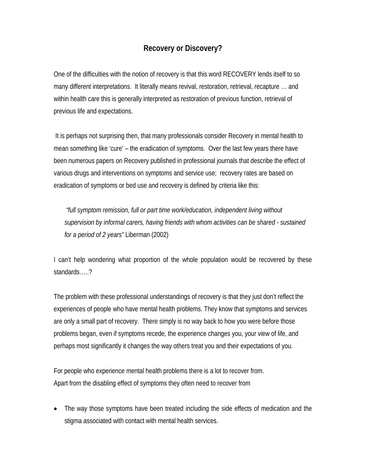## **Recovery or Discovery?**

One of the difficulties with the notion of recovery is that this word RECOVERY lends itself to so many different interpretations. It literally means revival, restoration, retrieval, recapture … and within health care this is generally interpreted as restoration of previous function, retrieval of previous life and expectations.

 It is perhaps not surprising then, that many professionals consider Recovery in mental health to mean something like 'cure' – the eradication of symptoms. Over the last few years there have been numerous papers on Recovery published in professional journals that describe the effect of various drugs and interventions on symptoms and service use; recovery rates are based on eradication of symptoms or bed use and recovery is defined by criteria like this:

 *"full symptom remission, full or part time work/education, independent living without supervision by informal carers, having friends with whom activities can be shared - sustained for a period of 2 years"* Liberman (2002)

I can't help wondering what proportion of the whole population would be recovered by these standards…..?

The problem with these professional understandings of recovery is that they just don't reflect the experiences of people who have mental health problems. They know that symptoms and services are only a small part of recovery. There simply is no way back to how you were before those problems began, even if symptoms recede, the experience changes you, your view of life, and perhaps most significantly it changes the way others treat you and their expectations of you.

For people who experience mental health problems there is a lot to recover from. Apart from the disabling effect of symptoms they often need to recover from

• The way those symptoms have been treated including the side effects of medication and the stigma associated with contact with mental health services.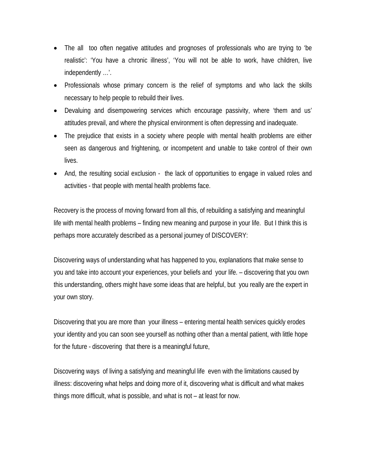- The all too often negative attitudes and prognoses of professionals who are trying to 'be realistic': 'You have a chronic illness', 'You will not be able to work, have children, live independently …'.
- Professionals whose primary concern is the relief of symptoms and who lack the skills necessary to help people to rebuild their lives.
- Devaluing and disempowering services which encourage passivity, where 'them and us' attitudes prevail, and where the physical environment is often depressing and inadequate.
- The prejudice that exists in a society where people with mental health problems are either seen as dangerous and frightening, or incompetent and unable to take control of their own lives.
- And, the resulting social exclusion the lack of opportunities to engage in valued roles and activities - that people with mental health problems face.

Recovery is the process of moving forward from all this, of rebuilding a satisfying and meaningful life with mental health problems – finding new meaning and purpose in your life. But I think this is perhaps more accurately described as a personal journey of DISCOVERY:

Discovering ways of understanding what has happened to you, explanations that make sense to you and take into account your experiences, your beliefs and your life. – discovering that you own this understanding, others might have some ideas that are helpful, but you really are the expert in your own story.

Discovering that you are more than your illness – entering mental health services quickly erodes your identity and you can soon see yourself as nothing other than a mental patient, with little hope for the future - discovering that there is a meaningful future,

Discovering ways of living a satisfying and meaningful life even with the limitations caused by illness: discovering what helps and doing more of it, discovering what is difficult and what makes things more difficult, what is possible, and what is not – at least for now.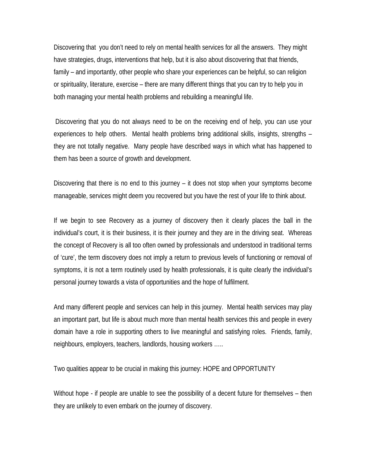Discovering that you don't need to rely on mental health services for all the answers. They might have strategies, drugs, interventions that help, but it is also about discovering that that friends, family – and importantly, other people who share your experiences can be helpful, so can religion or spirituality, literature, exercise – there are many different things that you can try to help you in both managing your mental health problems and rebuilding a meaningful life.

 Discovering that you do not always need to be on the receiving end of help, you can use your experiences to help others. Mental health problems bring additional skills, insights, strengths – they are not totally negative. Many people have described ways in which what has happened to them has been a source of growth and development.

Discovering that there is no end to this journey – it does not stop when your symptoms become manageable, services might deem you recovered but you have the rest of your life to think about.

If we begin to see Recovery as a journey of discovery then it clearly places the ball in the individual's court, it is their business, it is their journey and they are in the driving seat. Whereas the concept of Recovery is all too often owned by professionals and understood in traditional terms of 'cure', the term discovery does not imply a return to previous levels of functioning or removal of symptoms, it is not a term routinely used by health professionals, it is quite clearly the individual's personal journey towards a vista of opportunities and the hope of fulfilment.

And many different people and services can help in this journey. Mental health services may play an important part, but life is about much more than mental health services this and people in every domain have a role in supporting others to live meaningful and satisfying roles. Friends, family, neighbours, employers, teachers, landlords, housing workers …..

Two qualities appear to be crucial in making this journey: HOPE and OPPORTUNITY

Without hope - if people are unable to see the possibility of a decent future for themselves – then they are unlikely to even embark on the journey of discovery.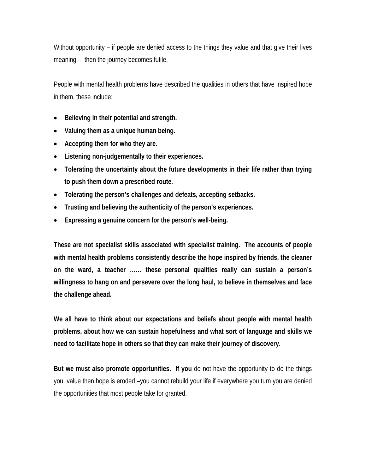Without opportunity – if people are denied access to the things they value and that give their lives meaning – then the journey becomes futile.

People with mental health problems have described the qualities in others that have inspired hope in them, these include:

- **Believing in their potential and strength.**
- **Valuing them as a unique human being.**
- **Accepting them for who they are.**
- **Listening non-judgementally to their experiences.**
- **Tolerating the uncertainty about the future developments in their life rather than trying to push them down a prescribed route.**
- **Tolerating the person's challenges and defeats, accepting setbacks.**
- **Trusting and believing the authenticity of the person's experiences.**
- **Expressing a genuine concern for the person's well-being.**

**These are not specialist skills associated with specialist training. The accounts of people with mental health problems consistently describe the hope inspired by friends, the cleaner on the ward, a teacher …… these personal qualities really can sustain a person's willingness to hang on and persevere over the long haul, to believe in themselves and face the challenge ahead.** 

**We all have to think about our expectations and beliefs about people with mental health problems, about how we can sustain hopefulness and what sort of language and skills we need to facilitate hope in others so that they can make their journey of discovery.** 

**But we must also promote opportunities. If you** do not have the opportunity to do the things you value then hope is eroded –you cannot rebuild your life if everywhere you turn you are denied the opportunities that most people take for granted.